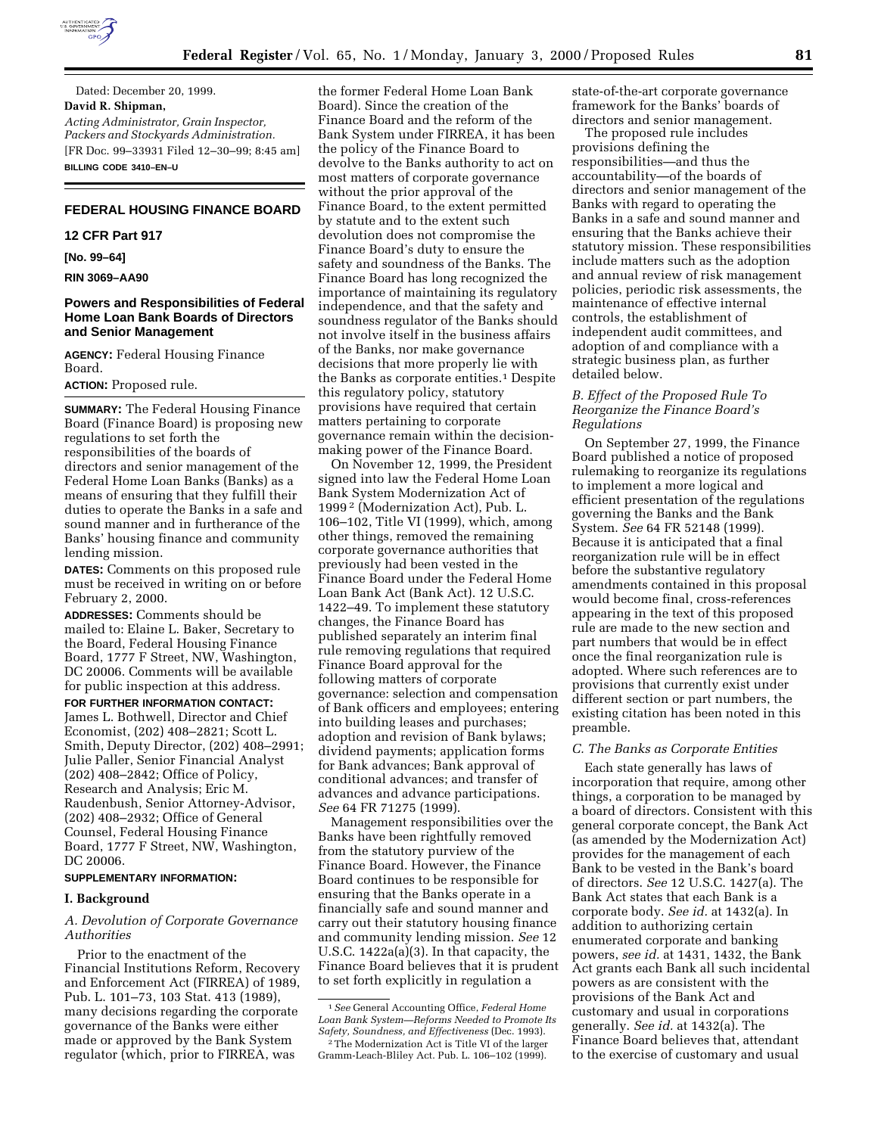

Dated: December 20, 1999. **David R. Shipman,** *Acting Administrator, Grain Inspector, Packers and Stockyards Administration.* [FR Doc. 99–33931 Filed 12–30–99; 8:45 am] **BILLING CODE 3410–EN–U**

# **FEDERAL HOUSING FINANCE BOARD**

# **12 CFR Part 917**

**[No. 99–64]**

**RIN 3069–AA90**

## **Powers and Responsibilities of Federal Home Loan Bank Boards of Directors and Senior Management**

**AGENCY:** Federal Housing Finance Board.

**ACTION:** Proposed rule.

**SUMMARY:** The Federal Housing Finance Board (Finance Board) is proposing new regulations to set forth the responsibilities of the boards of directors and senior management of the Federal Home Loan Banks (Banks) as a means of ensuring that they fulfill their duties to operate the Banks in a safe and sound manner and in furtherance of the Banks' housing finance and community lending mission.

**DATES:** Comments on this proposed rule must be received in writing on or before February 2, 2000.

**ADDRESSES:** Comments should be mailed to: Elaine L. Baker, Secretary to the Board, Federal Housing Finance Board, 1777 F Street, NW, Washington, DC 20006. Comments will be available for public inspection at this address.

**FOR FURTHER INFORMATION CONTACT:** James L. Bothwell, Director and Chief Economist, (202) 408–2821; Scott L. Smith, Deputy Director, (202) 408–2991; Julie Paller, Senior Financial Analyst (202) 408–2842; Office of Policy, Research and Analysis; Eric M. Raudenbush, Senior Attorney-Advisor, (202) 408–2932; Office of General Counsel, Federal Housing Finance Board, 1777 F Street, NW, Washington, DC 20006.

## **SUPPLEMENTARY INFORMATION:**

#### **I. Background**

*A. Devolution of Corporate Governance Authorities*

Prior to the enactment of the Financial Institutions Reform, Recovery and Enforcement Act (FIRREA) of 1989, Pub. L. 101–73, 103 Stat. 413 (1989), many decisions regarding the corporate governance of the Banks were either made or approved by the Bank System regulator (which, prior to FIRREA, was

the former Federal Home Loan Bank Board). Since the creation of the Finance Board and the reform of the Bank System under FIRREA, it has been the policy of the Finance Board to devolve to the Banks authority to act on most matters of corporate governance without the prior approval of the Finance Board, to the extent permitted by statute and to the extent such devolution does not compromise the Finance Board's duty to ensure the safety and soundness of the Banks. The Finance Board has long recognized the importance of maintaining its regulatory independence, and that the safety and soundness regulator of the Banks should not involve itself in the business affairs of the Banks, nor make governance decisions that more properly lie with the Banks as corporate entities.<sup>1</sup> Despite this regulatory policy, statutory provisions have required that certain matters pertaining to corporate governance remain within the decisionmaking power of the Finance Board.

On November 12, 1999, the President signed into law the Federal Home Loan Bank System Modernization Act of 1999 2 (Modernization Act), Pub. L. 106–102, Title VI (1999), which, among other things, removed the remaining corporate governance authorities that previously had been vested in the Finance Board under the Federal Home Loan Bank Act (Bank Act). 12 U.S.C. 1422–49. To implement these statutory changes, the Finance Board has published separately an interim final rule removing regulations that required Finance Board approval for the following matters of corporate governance: selection and compensation of Bank officers and employees; entering into building leases and purchases; adoption and revision of Bank bylaws; dividend payments; application forms for Bank advances; Bank approval of conditional advances; and transfer of advances and advance participations. *See* 64 FR 71275 (1999).

Management responsibilities over the Banks have been rightfully removed from the statutory purview of the Finance Board. However, the Finance Board continues to be responsible for ensuring that the Banks operate in a financially safe and sound manner and carry out their statutory housing finance and community lending mission. *See* 12 U.S.C. 1422a(a)(3). In that capacity, the Finance Board believes that it is prudent to set forth explicitly in regulation a

state-of-the-art corporate governance framework for the Banks' boards of directors and senior management.

The proposed rule includes provisions defining the responsibilities—and thus the accountability—of the boards of directors and senior management of the Banks with regard to operating the Banks in a safe and sound manner and ensuring that the Banks achieve their statutory mission. These responsibilities include matters such as the adoption and annual review of risk management policies, periodic risk assessments, the maintenance of effective internal controls, the establishment of independent audit committees, and adoption of and compliance with a strategic business plan, as further detailed below.

## *B. Effect of the Proposed Rule To Reorganize the Finance Board's Regulations*

On September 27, 1999, the Finance Board published a notice of proposed rulemaking to reorganize its regulations to implement a more logical and efficient presentation of the regulations governing the Banks and the Bank System. *See* 64 FR 52148 (1999). Because it is anticipated that a final reorganization rule will be in effect before the substantive regulatory amendments contained in this proposal would become final, cross-references appearing in the text of this proposed rule are made to the new section and part numbers that would be in effect once the final reorganization rule is adopted. Where such references are to provisions that currently exist under different section or part numbers, the existing citation has been noted in this preamble.

## *C. The Banks as Corporate Entities*

Each state generally has laws of incorporation that require, among other things, a corporation to be managed by a board of directors. Consistent with this general corporate concept, the Bank Act (as amended by the Modernization Act) provides for the management of each Bank to be vested in the Bank's board of directors. *See* 12 U.S.C. 1427(a). The Bank Act states that each Bank is a corporate body. *See id.* at 1432(a). In addition to authorizing certain enumerated corporate and banking powers, *see id.* at 1431, 1432, the Bank Act grants each Bank all such incidental powers as are consistent with the provisions of the Bank Act and customary and usual in corporations generally. *See id.* at 1432(a). The Finance Board believes that, attendant to the exercise of customary and usual

<sup>1</sup>*See* General Accounting Office, *Federal Home Loan Bank System—Reforms Needed to Promote Its Safety, Soundness, and Effectiveness* (Dec. 1993).

<sup>2</sup>The Modernization Act is Title VI of the larger Gramm-Leach-Bliley Act. Pub. L. 106–102 (1999).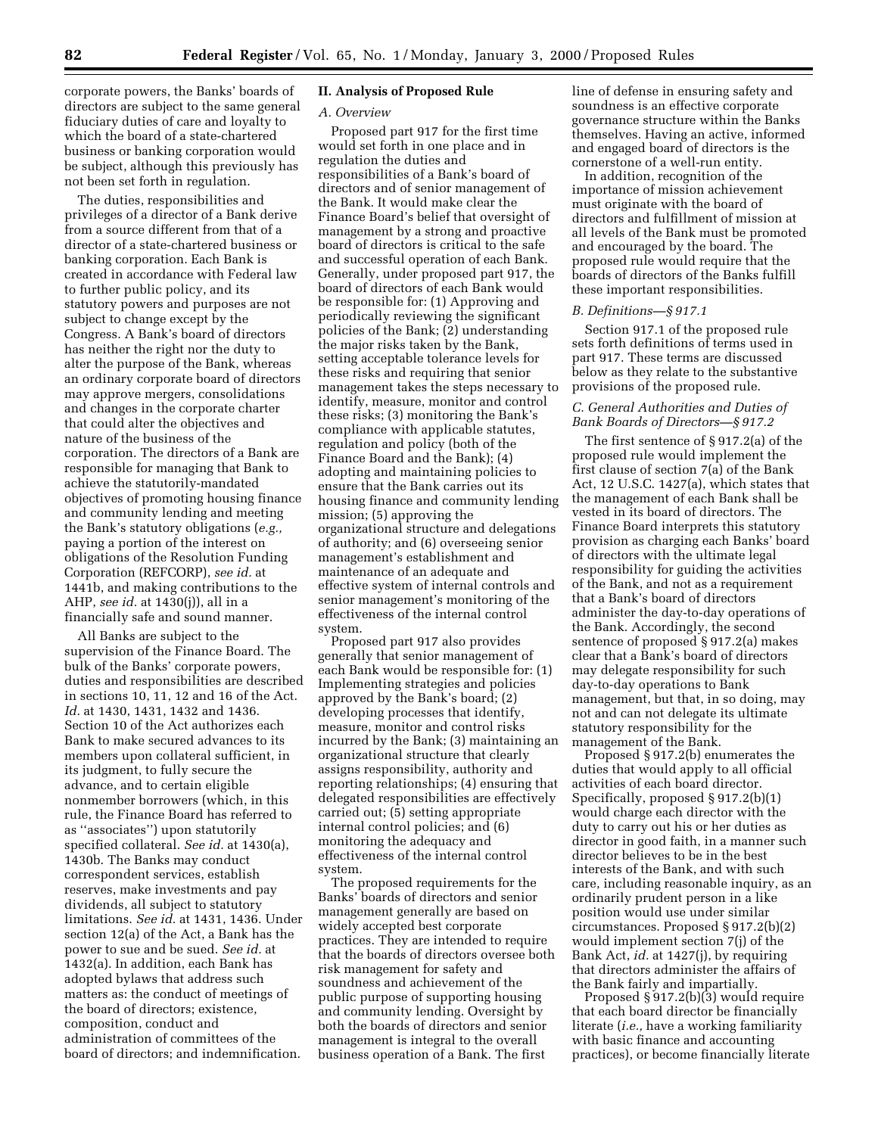corporate powers, the Banks' boards of directors are subject to the same general fiduciary duties of care and loyalty to which the board of a state-chartered business or banking corporation would be subject, although this previously has not been set forth in regulation.

The duties, responsibilities and privileges of a director of a Bank derive from a source different from that of a director of a state-chartered business or banking corporation. Each Bank is created in accordance with Federal law to further public policy, and its statutory powers and purposes are not subject to change except by the Congress. A Bank's board of directors has neither the right nor the duty to alter the purpose of the Bank, whereas an ordinary corporate board of directors may approve mergers, consolidations and changes in the corporate charter that could alter the objectives and nature of the business of the corporation. The directors of a Bank are responsible for managing that Bank to achieve the statutorily-mandated objectives of promoting housing finance and community lending and meeting the Bank's statutory obligations (*e.g.,* paying a portion of the interest on obligations of the Resolution Funding Corporation (REFCORP), *see id.* at 1441b, and making contributions to the AHP, *see id.* at 1430(j)), all in a financially safe and sound manner.

All Banks are subject to the supervision of the Finance Board. The bulk of the Banks' corporate powers, duties and responsibilities are described in sections 10, 11, 12 and 16 of the Act. *Id.* at 1430, 1431, 1432 and 1436. Section 10 of the Act authorizes each Bank to make secured advances to its members upon collateral sufficient, in its judgment, to fully secure the advance, and to certain eligible nonmember borrowers (which, in this rule, the Finance Board has referred to as ''associates'') upon statutorily specified collateral. *See id.* at 1430(a), 1430b. The Banks may conduct correspondent services, establish reserves, make investments and pay dividends, all subject to statutory limitations. *See id.* at 1431, 1436. Under section 12(a) of the Act, a Bank has the power to sue and be sued. *See id.* at 1432(a). In addition, each Bank has adopted bylaws that address such matters as: the conduct of meetings of the board of directors; existence, composition, conduct and administration of committees of the board of directors; and indemnification.

## **II. Analysis of Proposed Rule**

## *A. Overview*

Proposed part 917 for the first time would set forth in one place and in regulation the duties and responsibilities of a Bank's board of directors and of senior management of the Bank. It would make clear the Finance Board's belief that oversight of management by a strong and proactive board of directors is critical to the safe and successful operation of each Bank. Generally, under proposed part 917, the board of directors of each Bank would be responsible for: (1) Approving and periodically reviewing the significant policies of the Bank; (2) understanding the major risks taken by the Bank, setting acceptable tolerance levels for these risks and requiring that senior management takes the steps necessary to identify, measure, monitor and control these risks; (3) monitoring the Bank's compliance with applicable statutes, regulation and policy (both of the Finance Board and the Bank); (4) adopting and maintaining policies to ensure that the Bank carries out its housing finance and community lending mission; (5) approving the organizational structure and delegations of authority; and (6) overseeing senior management's establishment and maintenance of an adequate and effective system of internal controls and senior management's monitoring of the effectiveness of the internal control system.

Proposed part 917 also provides generally that senior management of each Bank would be responsible for: (1) Implementing strategies and policies approved by the Bank's board; (2) developing processes that identify, measure, monitor and control risks incurred by the Bank; (3) maintaining an organizational structure that clearly assigns responsibility, authority and reporting relationships; (4) ensuring that delegated responsibilities are effectively carried out; (5) setting appropriate internal control policies; and (6) monitoring the adequacy and effectiveness of the internal control system.

The proposed requirements for the Banks' boards of directors and senior management generally are based on widely accepted best corporate practices. They are intended to require that the boards of directors oversee both risk management for safety and soundness and achievement of the public purpose of supporting housing and community lending. Oversight by both the boards of directors and senior management is integral to the overall business operation of a Bank. The first

line of defense in ensuring safety and soundness is an effective corporate governance structure within the Banks themselves. Having an active, informed and engaged board of directors is the cornerstone of a well-run entity.

In addition, recognition of the importance of mission achievement must originate with the board of directors and fulfillment of mission at all levels of the Bank must be promoted and encouraged by the board. The proposed rule would require that the boards of directors of the Banks fulfill these important responsibilities.

#### *B. Definitions—§ 917.1*

Section 917.1 of the proposed rule sets forth definitions of terms used in part 917. These terms are discussed below as they relate to the substantive provisions of the proposed rule.

# *C. General Authorities and Duties of Bank Boards of Directors—§ 917.2*

The first sentence of § 917.2(a) of the proposed rule would implement the first clause of section 7(a) of the Bank Act, 12 U.S.C. 1427(a), which states that the management of each Bank shall be vested in its board of directors. The Finance Board interprets this statutory provision as charging each Banks' board of directors with the ultimate legal responsibility for guiding the activities of the Bank, and not as a requirement that a Bank's board of directors administer the day-to-day operations of the Bank. Accordingly, the second sentence of proposed § 917.2(a) makes clear that a Bank's board of directors may delegate responsibility for such day-to-day operations to Bank management, but that, in so doing, may not and can not delegate its ultimate statutory responsibility for the management of the Bank.

Proposed § 917.2(b) enumerates the duties that would apply to all official activities of each board director. Specifically, proposed § 917.2(b)(1) would charge each director with the duty to carry out his or her duties as director in good faith, in a manner such director believes to be in the best interests of the Bank, and with such care, including reasonable inquiry, as an ordinarily prudent person in a like position would use under similar circumstances. Proposed § 917.2(b)(2) would implement section 7(j) of the Bank Act, *id.* at 1427(j), by requiring that directors administer the affairs of the Bank fairly and impartially.

Proposed § 917.2(b)(3) would require that each board director be financially literate (*i.e.,* have a working familiarity with basic finance and accounting practices), or become financially literate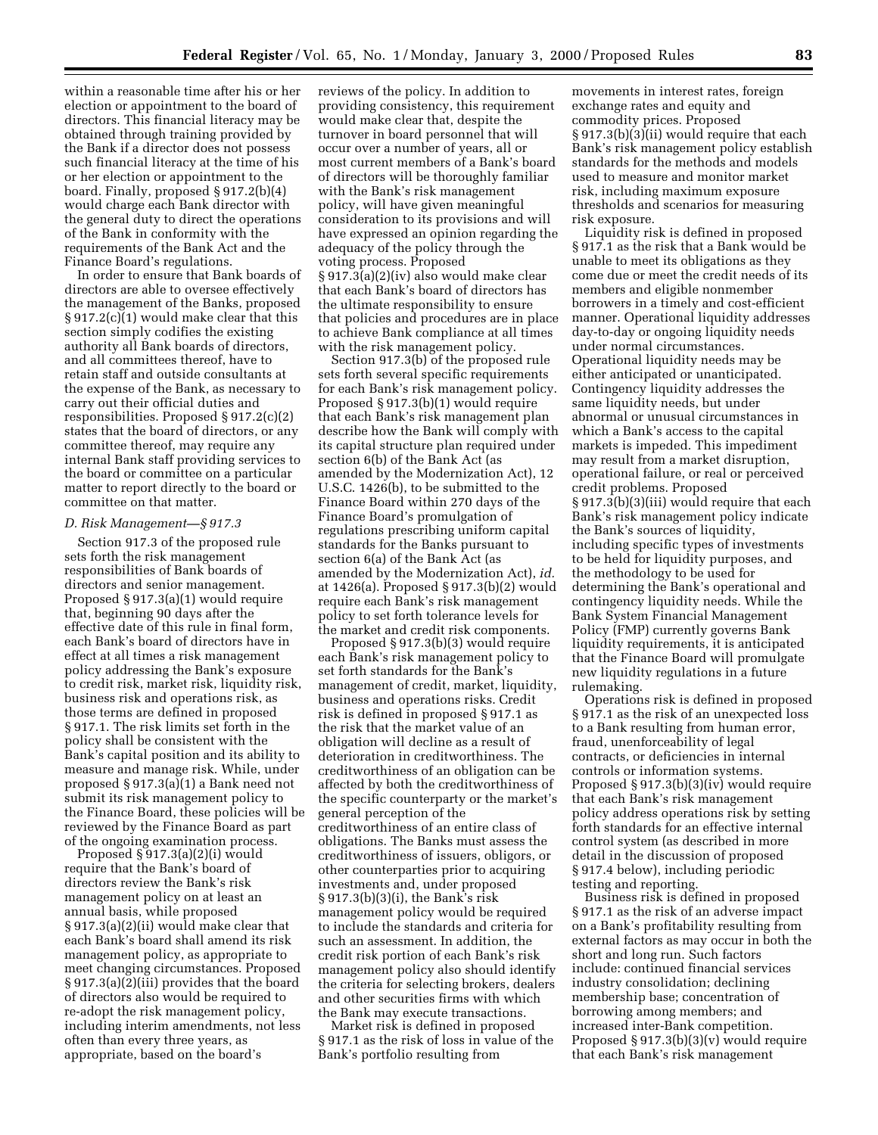within a reasonable time after his or her election or appointment to the board of directors. This financial literacy may be obtained through training provided by the Bank if a director does not possess such financial literacy at the time of his or her election or appointment to the board. Finally, proposed § 917.2(b)(4) would charge each Bank director with the general duty to direct the operations of the Bank in conformity with the requirements of the Bank Act and the Finance Board's regulations.

In order to ensure that Bank boards of directors are able to oversee effectively the management of the Banks, proposed § 917.2(c)(1) would make clear that this section simply codifies the existing authority all Bank boards of directors, and all committees thereof, have to retain staff and outside consultants at the expense of the Bank, as necessary to carry out their official duties and responsibilities. Proposed § 917.2(c)(2) states that the board of directors, or any committee thereof, may require any internal Bank staff providing services to the board or committee on a particular matter to report directly to the board or committee on that matter.

#### *D. Risk Management—§ 917.3*

Section 917.3 of the proposed rule sets forth the risk management responsibilities of Bank boards of directors and senior management. Proposed § 917.3(a)(1) would require that, beginning 90 days after the effective date of this rule in final form, each Bank's board of directors have in effect at all times a risk management policy addressing the Bank's exposure to credit risk, market risk, liquidity risk, business risk and operations risk, as those terms are defined in proposed § 917.1. The risk limits set forth in the policy shall be consistent with the Bank's capital position and its ability to measure and manage risk. While, under proposed § 917.3(a)(1) a Bank need not submit its risk management policy to the Finance Board, these policies will be reviewed by the Finance Board as part of the ongoing examination process.

Proposed § 917.3(a)(2)(i) would require that the Bank's board of directors review the Bank's risk management policy on at least an annual basis, while proposed § 917.3(a)(2)(ii) would make clear that each Bank's board shall amend its risk management policy, as appropriate to meet changing circumstances. Proposed § 917.3(a)(2)(iii) provides that the board of directors also would be required to re-adopt the risk management policy, including interim amendments, not less often than every three years, as appropriate, based on the board's

reviews of the policy. In addition to providing consistency, this requirement would make clear that, despite the turnover in board personnel that will occur over a number of years, all or most current members of a Bank's board of directors will be thoroughly familiar with the Bank's risk management policy, will have given meaningful consideration to its provisions and will have expressed an opinion regarding the adequacy of the policy through the voting process. Proposed § 917.3(a)(2)(iv) also would make clear that each Bank's board of directors has the ultimate responsibility to ensure that policies and procedures are in place to achieve Bank compliance at all times with the risk management policy.

Section 917.3(b) of the proposed rule sets forth several specific requirements for each Bank's risk management policy. Proposed § 917.3(b)(1) would require that each Bank's risk management plan describe how the Bank will comply with its capital structure plan required under section 6(b) of the Bank Act (as amended by the Modernization Act), 12 U.S.C. 1426(b), to be submitted to the Finance Board within 270 days of the Finance Board's promulgation of regulations prescribing uniform capital standards for the Banks pursuant to section 6(a) of the Bank Act (as amended by the Modernization Act), *id.* at 1426(a). Proposed § 917.3(b)(2) would require each Bank's risk management policy to set forth tolerance levels for the market and credit risk components.

Proposed § 917.3(b)(3) would require each Bank's risk management policy to set forth standards for the Bank's management of credit, market, liquidity, business and operations risks. Credit risk is defined in proposed § 917.1 as the risk that the market value of an obligation will decline as a result of deterioration in creditworthiness. The creditworthiness of an obligation can be affected by both the creditworthiness of the specific counterparty or the market's general perception of the creditworthiness of an entire class of obligations. The Banks must assess the creditworthiness of issuers, obligors, or other counterparties prior to acquiring investments and, under proposed § 917.3(b)(3)(i), the Bank's risk management policy would be required to include the standards and criteria for such an assessment. In addition, the credit risk portion of each Bank's risk management policy also should identify the criteria for selecting brokers, dealers and other securities firms with which the Bank may execute transactions.

Market risk is defined in proposed § 917.1 as the risk of loss in value of the Bank's portfolio resulting from

movements in interest rates, foreign exchange rates and equity and commodity prices. Proposed § 917.3(b)(3)(ii) would require that each Bank's risk management policy establish standards for the methods and models used to measure and monitor market risk, including maximum exposure thresholds and scenarios for measuring risk exposure.

Liquidity risk is defined in proposed § 917.1 as the risk that a Bank would be unable to meet its obligations as they come due or meet the credit needs of its members and eligible nonmember borrowers in a timely and cost-efficient manner. Operational liquidity addresses day-to-day or ongoing liquidity needs under normal circumstances. Operational liquidity needs may be either anticipated or unanticipated. Contingency liquidity addresses the same liquidity needs, but under abnormal or unusual circumstances in which a Bank's access to the capital markets is impeded. This impediment may result from a market disruption, operational failure, or real or perceived credit problems. Proposed § 917.3(b)(3)(iii) would require that each Bank's risk management policy indicate the Bank's sources of liquidity, including specific types of investments to be held for liquidity purposes, and the methodology to be used for determining the Bank's operational and contingency liquidity needs. While the Bank System Financial Management Policy (FMP) currently governs Bank liquidity requirements, it is anticipated that the Finance Board will promulgate new liquidity regulations in a future rulemaking.

Operations risk is defined in proposed § 917.1 as the risk of an unexpected loss to a Bank resulting from human error, fraud, unenforceability of legal contracts, or deficiencies in internal controls or information systems. Proposed § 917.3(b)(3)(iv) would require that each Bank's risk management policy address operations risk by setting forth standards for an effective internal control system (as described in more detail in the discussion of proposed § 917.4 below), including periodic testing and reporting.

Business risk is defined in proposed § 917.1 as the risk of an adverse impact on a Bank's profitability resulting from external factors as may occur in both the short and long run. Such factors include: continued financial services industry consolidation; declining membership base; concentration of borrowing among members; and increased inter-Bank competition. Proposed § 917.3(b)(3)(v) would require that each Bank's risk management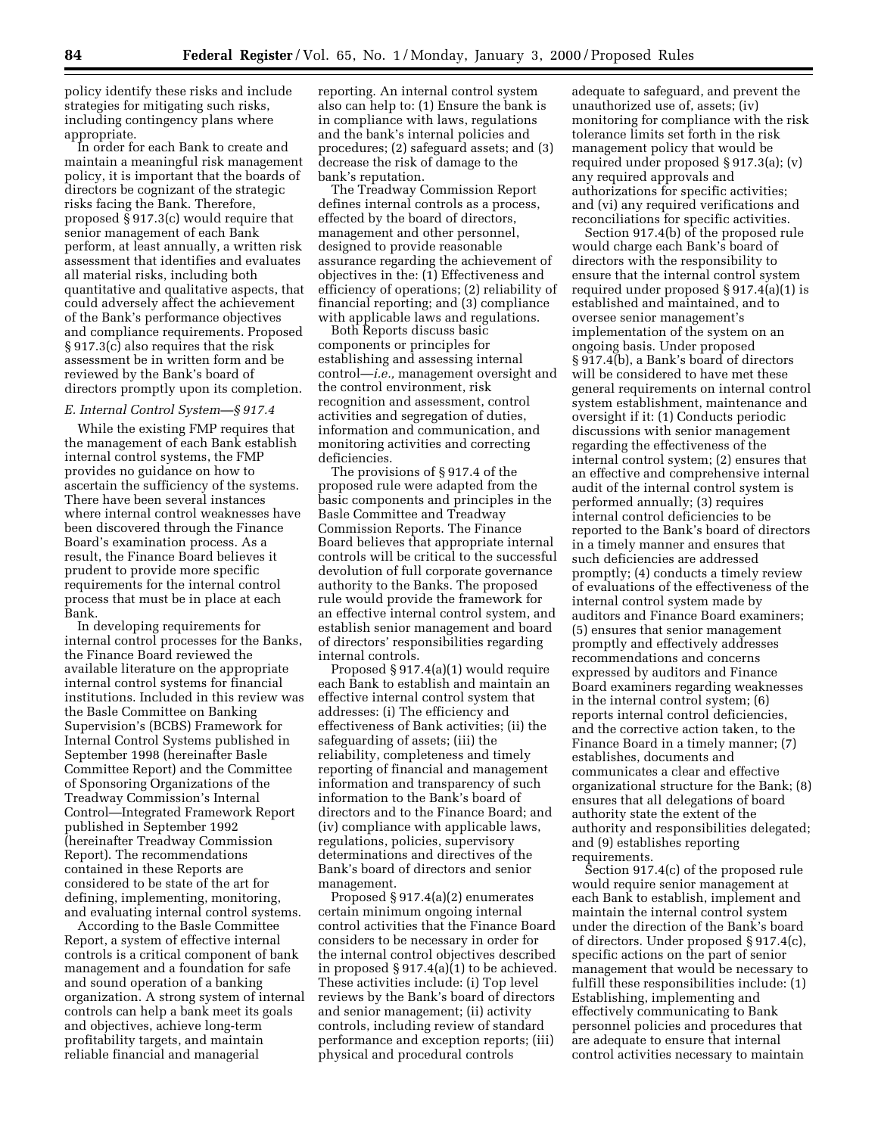policy identify these risks and include strategies for mitigating such risks, including contingency plans where appropriate.

In order for each Bank to create and maintain a meaningful risk management policy, it is important that the boards of directors be cognizant of the strategic risks facing the Bank. Therefore, proposed § 917.3(c) would require that senior management of each Bank perform, at least annually, a written risk assessment that identifies and evaluates all material risks, including both quantitative and qualitative aspects, that could adversely affect the achievement of the Bank's performance objectives and compliance requirements. Proposed § 917.3(c) also requires that the risk assessment be in written form and be reviewed by the Bank's board of directors promptly upon its completion.

## *E. Internal Control System—§ 917.4*

While the existing FMP requires that the management of each Bank establish internal control systems, the FMP provides no guidance on how to ascertain the sufficiency of the systems. There have been several instances where internal control weaknesses have been discovered through the Finance Board's examination process. As a result, the Finance Board believes it prudent to provide more specific requirements for the internal control process that must be in place at each Bank.

In developing requirements for internal control processes for the Banks, the Finance Board reviewed the available literature on the appropriate internal control systems for financial institutions. Included in this review was the Basle Committee on Banking Supervision's (BCBS) Framework for Internal Control Systems published in September 1998 (hereinafter Basle Committee Report) and the Committee of Sponsoring Organizations of the Treadway Commission's Internal Control—Integrated Framework Report published in September 1992 (hereinafter Treadway Commission Report). The recommendations contained in these Reports are considered to be state of the art for defining, implementing, monitoring, and evaluating internal control systems.

According to the Basle Committee Report, a system of effective internal controls is a critical component of bank management and a foundation for safe and sound operation of a banking organization. A strong system of internal controls can help a bank meet its goals and objectives, achieve long-term profitability targets, and maintain reliable financial and managerial

reporting. An internal control system also can help to: (1) Ensure the bank is in compliance with laws, regulations and the bank's internal policies and procedures; (2) safeguard assets; and (3) decrease the risk of damage to the bank's reputation.

The Treadway Commission Report defines internal controls as a process, effected by the board of directors, management and other personnel, designed to provide reasonable assurance regarding the achievement of objectives in the: (1) Effectiveness and efficiency of operations; (2) reliability of financial reporting; and (3) compliance with applicable laws and regulations.

Both Reports discuss basic components or principles for establishing and assessing internal control—*i.e.,* management oversight and the control environment, risk recognition and assessment, control activities and segregation of duties, information and communication, and monitoring activities and correcting deficiencies.

The provisions of § 917.4 of the proposed rule were adapted from the basic components and principles in the Basle Committee and Treadway Commission Reports. The Finance Board believes that appropriate internal controls will be critical to the successful devolution of full corporate governance authority to the Banks. The proposed rule would provide the framework for an effective internal control system, and establish senior management and board of directors' responsibilities regarding internal controls.

Proposed § 917.4(a)(1) would require each Bank to establish and maintain an effective internal control system that addresses: (i) The efficiency and effectiveness of Bank activities; (ii) the safeguarding of assets; (iii) the reliability, completeness and timely reporting of financial and management information and transparency of such information to the Bank's board of directors and to the Finance Board; and (iv) compliance with applicable laws, regulations, policies, supervisory determinations and directives of the Bank's board of directors and senior management.

Proposed § 917.4(a)(2) enumerates certain minimum ongoing internal control activities that the Finance Board considers to be necessary in order for the internal control objectives described in proposed § 917.4(a)(1) to be achieved. These activities include: (i) Top level reviews by the Bank's board of directors and senior management; (ii) activity controls, including review of standard performance and exception reports; (iii) physical and procedural controls

adequate to safeguard, and prevent the unauthorized use of, assets; (iv) monitoring for compliance with the risk tolerance limits set forth in the risk management policy that would be required under proposed § 917.3(a); (v) any required approvals and authorizations for specific activities; and (vi) any required verifications and reconciliations for specific activities.

Section 917.4(b) of the proposed rule would charge each Bank's board of directors with the responsibility to ensure that the internal control system required under proposed § 917.4(a)(1) is established and maintained, and to oversee senior management's implementation of the system on an ongoing basis. Under proposed § 917.4(b), a Bank's board of directors will be considered to have met these general requirements on internal control system establishment, maintenance and oversight if it: (1) Conducts periodic discussions with senior management regarding the effectiveness of the internal control system; (2) ensures that an effective and comprehensive internal audit of the internal control system is performed annually; (3) requires internal control deficiencies to be reported to the Bank's board of directors in a timely manner and ensures that such deficiencies are addressed promptly; (4) conducts a timely review of evaluations of the effectiveness of the internal control system made by auditors and Finance Board examiners; (5) ensures that senior management promptly and effectively addresses recommendations and concerns expressed by auditors and Finance Board examiners regarding weaknesses in the internal control system; (6) reports internal control deficiencies, and the corrective action taken, to the Finance Board in a timely manner; (7) establishes, documents and communicates a clear and effective organizational structure for the Bank; (8) ensures that all delegations of board authority state the extent of the authority and responsibilities delegated; and (9) establishes reporting requirements.

Section 917.4(c) of the proposed rule would require senior management at each Bank to establish, implement and maintain the internal control system under the direction of the Bank's board of directors. Under proposed § 917.4(c), specific actions on the part of senior management that would be necessary to fulfill these responsibilities include: (1) Establishing, implementing and effectively communicating to Bank personnel policies and procedures that are adequate to ensure that internal control activities necessary to maintain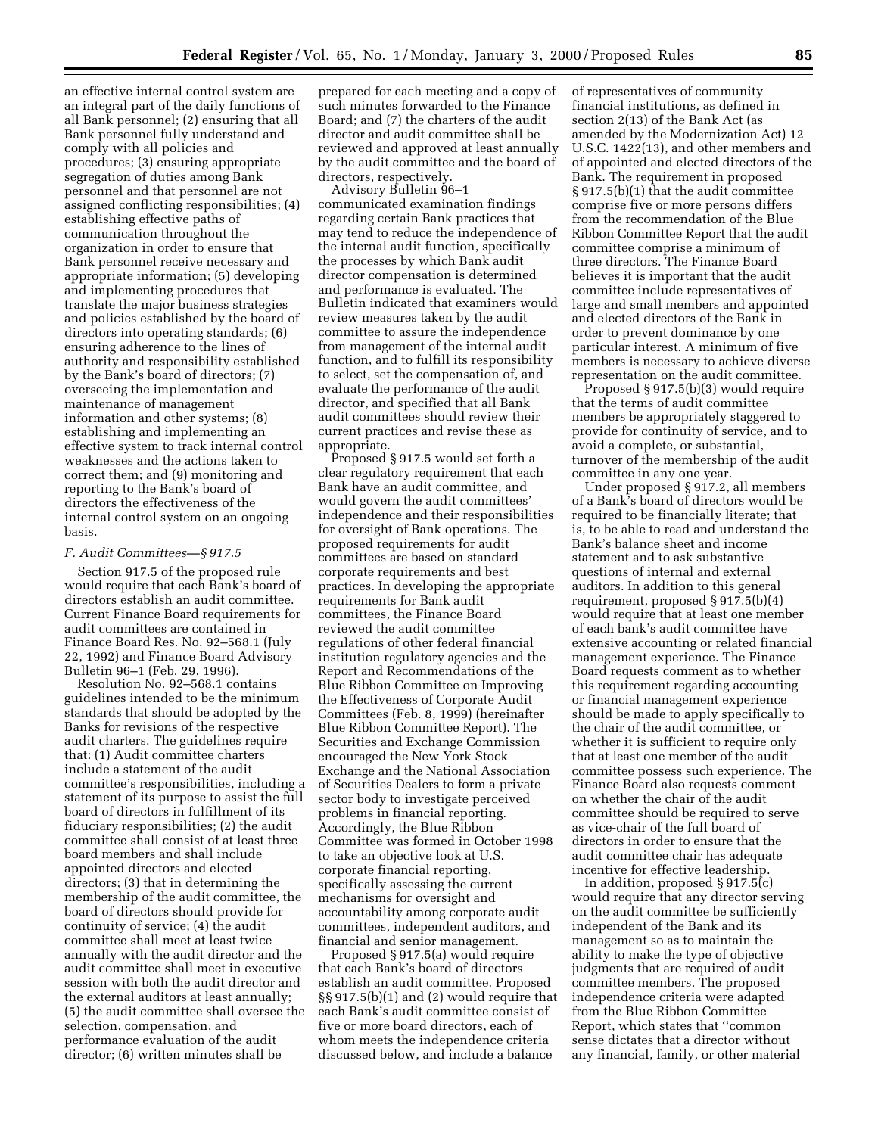an effective internal control system are an integral part of the daily functions of all Bank personnel; (2) ensuring that all Bank personnel fully understand and comply with all policies and procedures; (3) ensuring appropriate segregation of duties among Bank personnel and that personnel are not assigned conflicting responsibilities; (4) establishing effective paths of communication throughout the organization in order to ensure that Bank personnel receive necessary and appropriate information; (5) developing and implementing procedures that translate the major business strategies and policies established by the board of directors into operating standards; (6) ensuring adherence to the lines of authority and responsibility established by the Bank's board of directors; (7) overseeing the implementation and maintenance of management information and other systems; (8) establishing and implementing an effective system to track internal control weaknesses and the actions taken to correct them; and (9) monitoring and reporting to the Bank's board of directors the effectiveness of the internal control system on an ongoing basis.

#### *F. Audit Committees—§ 917.5*

Section 917.5 of the proposed rule would require that each Bank's board of directors establish an audit committee. Current Finance Board requirements for audit committees are contained in Finance Board Res. No. 92–568.1 (July 22, 1992) and Finance Board Advisory Bulletin 96–1 (Feb. 29, 1996).

Resolution No. 92–568.1 contains guidelines intended to be the minimum standards that should be adopted by the Banks for revisions of the respective audit charters. The guidelines require that: (1) Audit committee charters include a statement of the audit committee's responsibilities, including a statement of its purpose to assist the full board of directors in fulfillment of its fiduciary responsibilities; (2) the audit committee shall consist of at least three board members and shall include appointed directors and elected directors; (3) that in determining the membership of the audit committee, the board of directors should provide for continuity of service; (4) the audit committee shall meet at least twice annually with the audit director and the audit committee shall meet in executive session with both the audit director and the external auditors at least annually; (5) the audit committee shall oversee the selection, compensation, and performance evaluation of the audit director; (6) written minutes shall be

prepared for each meeting and a copy of such minutes forwarded to the Finance Board; and (7) the charters of the audit director and audit committee shall be reviewed and approved at least annually by the audit committee and the board of directors, respectively.

Advisory Bulletin 96–1 communicated examination findings regarding certain Bank practices that may tend to reduce the independence of the internal audit function, specifically the processes by which Bank audit director compensation is determined and performance is evaluated. The Bulletin indicated that examiners would review measures taken by the audit committee to assure the independence from management of the internal audit function, and to fulfill its responsibility to select, set the compensation of, and evaluate the performance of the audit director, and specified that all Bank audit committees should review their current practices and revise these as appropriate.

Proposed § 917.5 would set forth a clear regulatory requirement that each Bank have an audit committee, and would govern the audit committees' independence and their responsibilities for oversight of Bank operations. The proposed requirements for audit committees are based on standard corporate requirements and best practices. In developing the appropriate requirements for Bank audit committees, the Finance Board reviewed the audit committee regulations of other federal financial institution regulatory agencies and the Report and Recommendations of the Blue Ribbon Committee on Improving the Effectiveness of Corporate Audit Committees (Feb. 8, 1999) (hereinafter Blue Ribbon Committee Report). The Securities and Exchange Commission encouraged the New York Stock Exchange and the National Association of Securities Dealers to form a private sector body to investigate perceived problems in financial reporting. Accordingly, the Blue Ribbon Committee was formed in October 1998 to take an objective look at U.S. corporate financial reporting, specifically assessing the current mechanisms for oversight and accountability among corporate audit committees, independent auditors, and financial and senior management.

Proposed § 917.5(a) would require that each Bank's board of directors establish an audit committee. Proposed §§ 917.5(b)(1) and (2) would require that each Bank's audit committee consist of five or more board directors, each of whom meets the independence criteria discussed below, and include a balance

of representatives of community financial institutions, as defined in section 2(13) of the Bank Act (as amended by the Modernization Act) 12 U.S.C. 1422(13), and other members and of appointed and elected directors of the Bank. The requirement in proposed § 917.5(b)(1) that the audit committee comprise five or more persons differs from the recommendation of the Blue Ribbon Committee Report that the audit committee comprise a minimum of three directors. The Finance Board believes it is important that the audit committee include representatives of large and small members and appointed and elected directors of the Bank in order to prevent dominance by one particular interest. A minimum of five members is necessary to achieve diverse representation on the audit committee.

Proposed § 917.5(b)(3) would require that the terms of audit committee members be appropriately staggered to provide for continuity of service, and to avoid a complete, or substantial, turnover of the membership of the audit committee in any one year.

Under proposed § 917.2, all members of a Bank's board of directors would be required to be financially literate; that is, to be able to read and understand the Bank's balance sheet and income statement and to ask substantive questions of internal and external auditors. In addition to this general requirement, proposed § 917.5(b)(4) would require that at least one member of each bank's audit committee have extensive accounting or related financial management experience. The Finance Board requests comment as to whether this requirement regarding accounting or financial management experience should be made to apply specifically to the chair of the audit committee, or whether it is sufficient to require only that at least one member of the audit committee possess such experience. The Finance Board also requests comment on whether the chair of the audit committee should be required to serve as vice-chair of the full board of directors in order to ensure that the audit committee chair has adequate incentive for effective leadership.

In addition, proposed § 917.5(c) would require that any director serving on the audit committee be sufficiently independent of the Bank and its management so as to maintain the ability to make the type of objective judgments that are required of audit committee members. The proposed independence criteria were adapted from the Blue Ribbon Committee Report, which states that ''common sense dictates that a director without any financial, family, or other material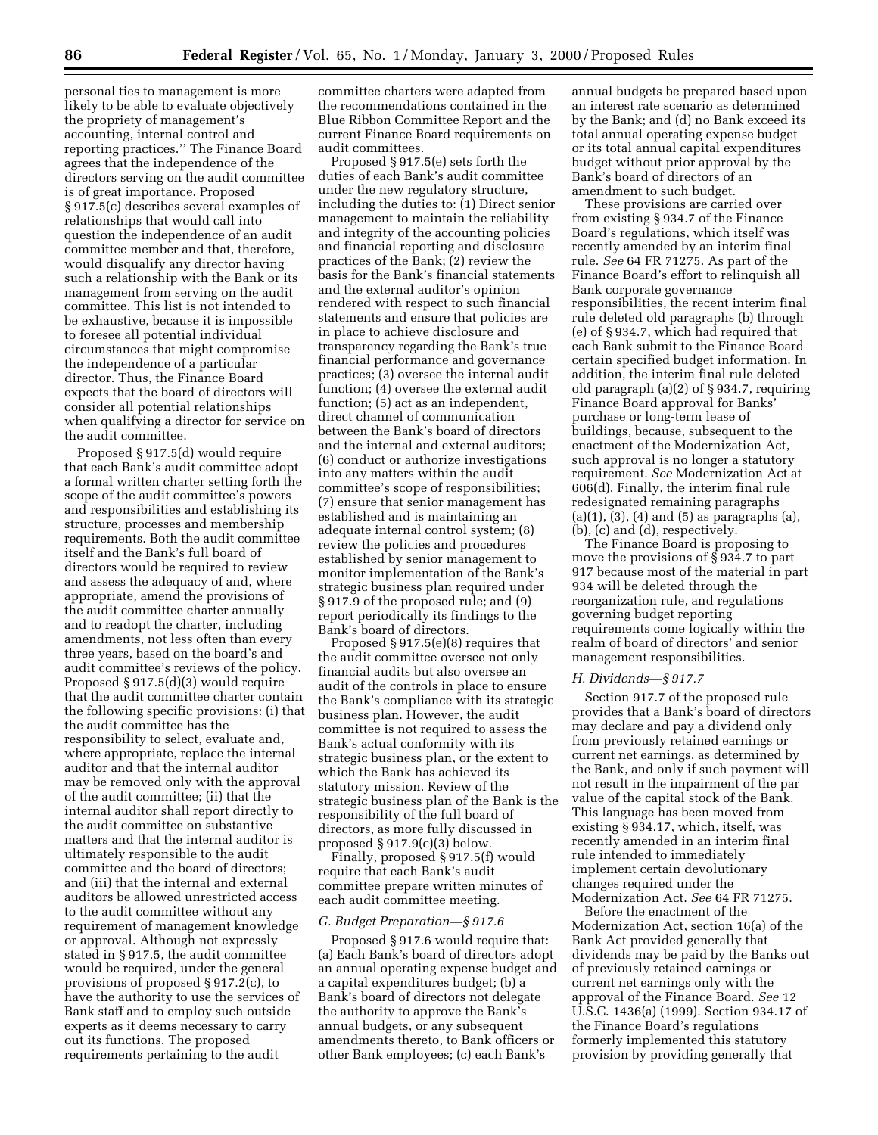personal ties to management is more likely to be able to evaluate objectively the propriety of management's accounting, internal control and reporting practices.'' The Finance Board agrees that the independence of the directors serving on the audit committee is of great importance. Proposed § 917.5(c) describes several examples of relationships that would call into question the independence of an audit committee member and that, therefore, would disqualify any director having such a relationship with the Bank or its management from serving on the audit committee. This list is not intended to be exhaustive, because it is impossible to foresee all potential individual circumstances that might compromise the independence of a particular director. Thus, the Finance Board expects that the board of directors will consider all potential relationships when qualifying a director for service on the audit committee.

Proposed § 917.5(d) would require that each Bank's audit committee adopt a formal written charter setting forth the scope of the audit committee's powers and responsibilities and establishing its structure, processes and membership requirements. Both the audit committee itself and the Bank's full board of directors would be required to review and assess the adequacy of and, where appropriate, amend the provisions of the audit committee charter annually and to readopt the charter, including amendments, not less often than every three years, based on the board's and audit committee's reviews of the policy. Proposed § 917.5(d)(3) would require that the audit committee charter contain the following specific provisions: (i) that the audit committee has the responsibility to select, evaluate and, where appropriate, replace the internal auditor and that the internal auditor may be removed only with the approval of the audit committee; (ii) that the internal auditor shall report directly to the audit committee on substantive matters and that the internal auditor is ultimately responsible to the audit committee and the board of directors; and (iii) that the internal and external auditors be allowed unrestricted access to the audit committee without any requirement of management knowledge or approval. Although not expressly stated in § 917.5, the audit committee would be required, under the general provisions of proposed § 917.2(c), to have the authority to use the services of Bank staff and to employ such outside experts as it deems necessary to carry out its functions. The proposed requirements pertaining to the audit

committee charters were adapted from the recommendations contained in the Blue Ribbon Committee Report and the current Finance Board requirements on audit committees.

Proposed § 917.5(e) sets forth the duties of each Bank's audit committee under the new regulatory structure, including the duties to: (1) Direct senior management to maintain the reliability and integrity of the accounting policies and financial reporting and disclosure practices of the Bank; (2) review the basis for the Bank's financial statements and the external auditor's opinion rendered with respect to such financial statements and ensure that policies are in place to achieve disclosure and transparency regarding the Bank's true financial performance and governance practices; (3) oversee the internal audit function; (4) oversee the external audit function; (5) act as an independent, direct channel of communication between the Bank's board of directors and the internal and external auditors; (6) conduct or authorize investigations into any matters within the audit committee's scope of responsibilities; (7) ensure that senior management has established and is maintaining an adequate internal control system; (8) review the policies and procedures established by senior management to monitor implementation of the Bank's strategic business plan required under § 917.9 of the proposed rule; and (9) report periodically its findings to the Bank's board of directors.

Proposed § 917.5(e)(8) requires that the audit committee oversee not only financial audits but also oversee an audit of the controls in place to ensure the Bank's compliance with its strategic business plan. However, the audit committee is not required to assess the Bank's actual conformity with its strategic business plan, or the extent to which the Bank has achieved its statutory mission. Review of the strategic business plan of the Bank is the responsibility of the full board of directors, as more fully discussed in proposed § 917.9(c)(3) below.

Finally, proposed § 917.5(f) would require that each Bank's audit committee prepare written minutes of each audit committee meeting.

### *G. Budget Preparation—§ 917.6*

Proposed § 917.6 would require that: (a) Each Bank's board of directors adopt an annual operating expense budget and a capital expenditures budget; (b) a Bank's board of directors not delegate the authority to approve the Bank's annual budgets, or any subsequent amendments thereto, to Bank officers or other Bank employees; (c) each Bank's

annual budgets be prepared based upon an interest rate scenario as determined by the Bank; and (d) no Bank exceed its total annual operating expense budget or its total annual capital expenditures budget without prior approval by the Bank's board of directors of an amendment to such budget.

These provisions are carried over from existing § 934.7 of the Finance Board's regulations, which itself was recently amended by an interim final rule. *See* 64 FR 71275. As part of the Finance Board's effort to relinquish all Bank corporate governance responsibilities, the recent interim final rule deleted old paragraphs (b) through (e) of § 934.7, which had required that each Bank submit to the Finance Board certain specified budget information. In addition, the interim final rule deleted old paragraph (a)(2) of § 934.7, requiring Finance Board approval for Banks' purchase or long-term lease of buildings, because, subsequent to the enactment of the Modernization Act, such approval is no longer a statutory requirement. *See* Modernization Act at 606(d). Finally, the interim final rule redesignated remaining paragraphs  $(a)(1)$ ,  $(3)$ ,  $(4)$  and  $(5)$  as paragraphs  $(a)$ , (b), (c) and (d), respectively.

The Finance Board is proposing to move the provisions of § 934.7 to part 917 because most of the material in part 934 will be deleted through the reorganization rule, and regulations governing budget reporting requirements come logically within the realm of board of directors' and senior management responsibilities.

#### *H. Dividends—§ 917.7*

Section 917.7 of the proposed rule provides that a Bank's board of directors may declare and pay a dividend only from previously retained earnings or current net earnings, as determined by the Bank, and only if such payment will not result in the impairment of the par value of the capital stock of the Bank. This language has been moved from existing § 934.17, which, itself, was recently amended in an interim final rule intended to immediately implement certain devolutionary changes required under the Modernization Act. *See* 64 FR 71275.

Before the enactment of the Modernization Act, section 16(a) of the Bank Act provided generally that dividends may be paid by the Banks out of previously retained earnings or current net earnings only with the approval of the Finance Board. *See* 12 U.S.C. 1436(a) (1999). Section 934.17 of the Finance Board's regulations formerly implemented this statutory provision by providing generally that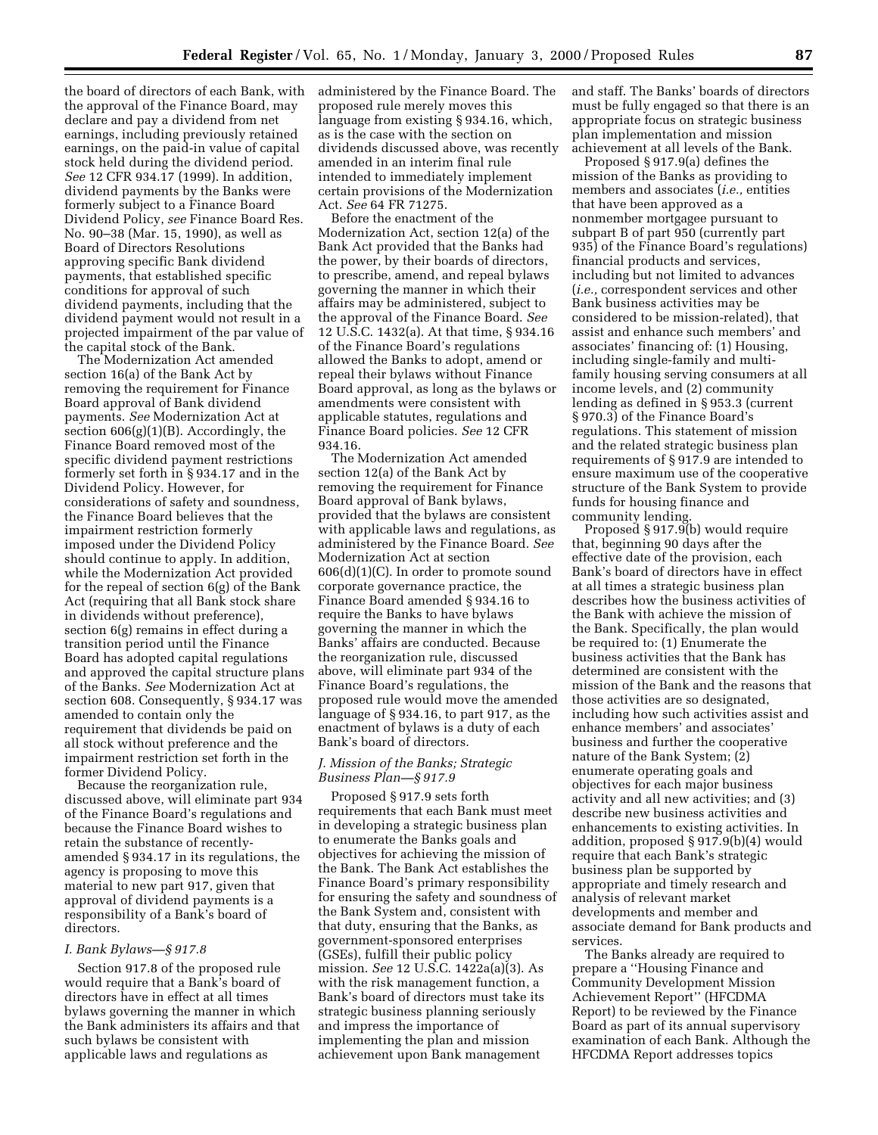the board of directors of each Bank, with the approval of the Finance Board, may declare and pay a dividend from net earnings, including previously retained earnings, on the paid-in value of capital stock held during the dividend period. *See* 12 CFR 934.17 (1999). In addition, dividend payments by the Banks were formerly subject to a Finance Board Dividend Policy, *see* Finance Board Res. No. 90–38 (Mar. 15, 1990), as well as Board of Directors Resolutions approving specific Bank dividend payments, that established specific conditions for approval of such dividend payments, including that the dividend payment would not result in a projected impairment of the par value of the capital stock of the Bank.

The Modernization Act amended section 16(a) of the Bank Act by removing the requirement for Finance Board approval of Bank dividend payments. *See* Modernization Act at section  $606(g)(1)(B)$ . Accordingly, the Finance Board removed most of the specific dividend payment restrictions formerly set forth in § 934.17 and in the Dividend Policy. However, for considerations of safety and soundness, the Finance Board believes that the impairment restriction formerly imposed under the Dividend Policy should continue to apply. In addition, while the Modernization Act provided for the repeal of section 6(g) of the Bank Act (requiring that all Bank stock share in dividends without preference), section 6(g) remains in effect during a transition period until the Finance Board has adopted capital regulations and approved the capital structure plans of the Banks. *See* Modernization Act at section 608. Consequently, § 934.17 was amended to contain only the requirement that dividends be paid on all stock without preference and the impairment restriction set forth in the former Dividend Policy.

Because the reorganization rule, discussed above, will eliminate part 934 of the Finance Board's regulations and because the Finance Board wishes to retain the substance of recentlyamended § 934.17 in its regulations, the agency is proposing to move this material to new part 917, given that approval of dividend payments is a responsibility of a Bank's board of directors.

## *I. Bank Bylaws—§ 917.8*

Section 917.8 of the proposed rule would require that a Bank's board of directors have in effect at all times bylaws governing the manner in which the Bank administers its affairs and that such bylaws be consistent with applicable laws and regulations as

administered by the Finance Board. The proposed rule merely moves this language from existing § 934.16, which, as is the case with the section on dividends discussed above, was recently amended in an interim final rule intended to immediately implement certain provisions of the Modernization Act. *See* 64 FR 71275.

Before the enactment of the Modernization Act, section 12(a) of the Bank Act provided that the Banks had the power, by their boards of directors, to prescribe, amend, and repeal bylaws governing the manner in which their affairs may be administered, subject to the approval of the Finance Board. *See* 12 U.S.C. 1432(a). At that time, § 934.16 of the Finance Board's regulations allowed the Banks to adopt, amend or repeal their bylaws without Finance Board approval, as long as the bylaws or amendments were consistent with applicable statutes, regulations and Finance Board policies. *See* 12 CFR 934.16.

The Modernization Act amended section 12(a) of the Bank Act by removing the requirement for Finance Board approval of Bank bylaws, provided that the bylaws are consistent with applicable laws and regulations, as administered by the Finance Board. *See* Modernization Act at section 606(d)(1)(C). In order to promote sound corporate governance practice, the Finance Board amended § 934.16 to require the Banks to have bylaws governing the manner in which the Banks' affairs are conducted. Because the reorganization rule, discussed above, will eliminate part 934 of the Finance Board's regulations, the proposed rule would move the amended language of § 934.16, to part 917, as the enactment of bylaws is a duty of each Bank's board of directors.

## *J. Mission of the Banks; Strategic Business Plan—§ 917.9*

Proposed § 917.9 sets forth requirements that each Bank must meet in developing a strategic business plan to enumerate the Banks goals and objectives for achieving the mission of the Bank. The Bank Act establishes the Finance Board's primary responsibility for ensuring the safety and soundness of the Bank System and, consistent with that duty, ensuring that the Banks, as government-sponsored enterprises (GSEs), fulfill their public policy mission. *See* 12 U.S.C. 1422a(a)(3). As with the risk management function, a Bank's board of directors must take its strategic business planning seriously and impress the importance of implementing the plan and mission achievement upon Bank management

and staff. The Banks' boards of directors must be fully engaged so that there is an appropriate focus on strategic business plan implementation and mission achievement at all levels of the Bank.

Proposed § 917.9(a) defines the mission of the Banks as providing to members and associates (*i.e.,* entities that have been approved as a nonmember mortgagee pursuant to subpart B of part 950 (currently part 935) of the Finance Board's regulations) financial products and services, including but not limited to advances (*i.e.,* correspondent services and other Bank business activities may be considered to be mission-related), that assist and enhance such members' and associates' financing of: (1) Housing, including single-family and multifamily housing serving consumers at all income levels, and (2) community lending as defined in § 953.3 (current § 970.3) of the Finance Board's regulations. This statement of mission and the related strategic business plan requirements of § 917.9 are intended to ensure maximum use of the cooperative structure of the Bank System to provide funds for housing finance and community lending.

Proposed § 917.9(b) would require that, beginning 90 days after the effective date of the provision, each Bank's board of directors have in effect at all times a strategic business plan describes how the business activities of the Bank with achieve the mission of the Bank. Specifically, the plan would be required to: (1) Enumerate the business activities that the Bank has determined are consistent with the mission of the Bank and the reasons that those activities are so designated, including how such activities assist and enhance members' and associates' business and further the cooperative nature of the Bank System; (2) enumerate operating goals and objectives for each major business activity and all new activities; and (3) describe new business activities and enhancements to existing activities. In addition, proposed § 917.9(b)(4) would require that each Bank's strategic business plan be supported by appropriate and timely research and analysis of relevant market developments and member and associate demand for Bank products and services.

The Banks already are required to prepare a ''Housing Finance and Community Development Mission Achievement Report'' (HFCDMA Report) to be reviewed by the Finance Board as part of its annual supervisory examination of each Bank. Although the HFCDMA Report addresses topics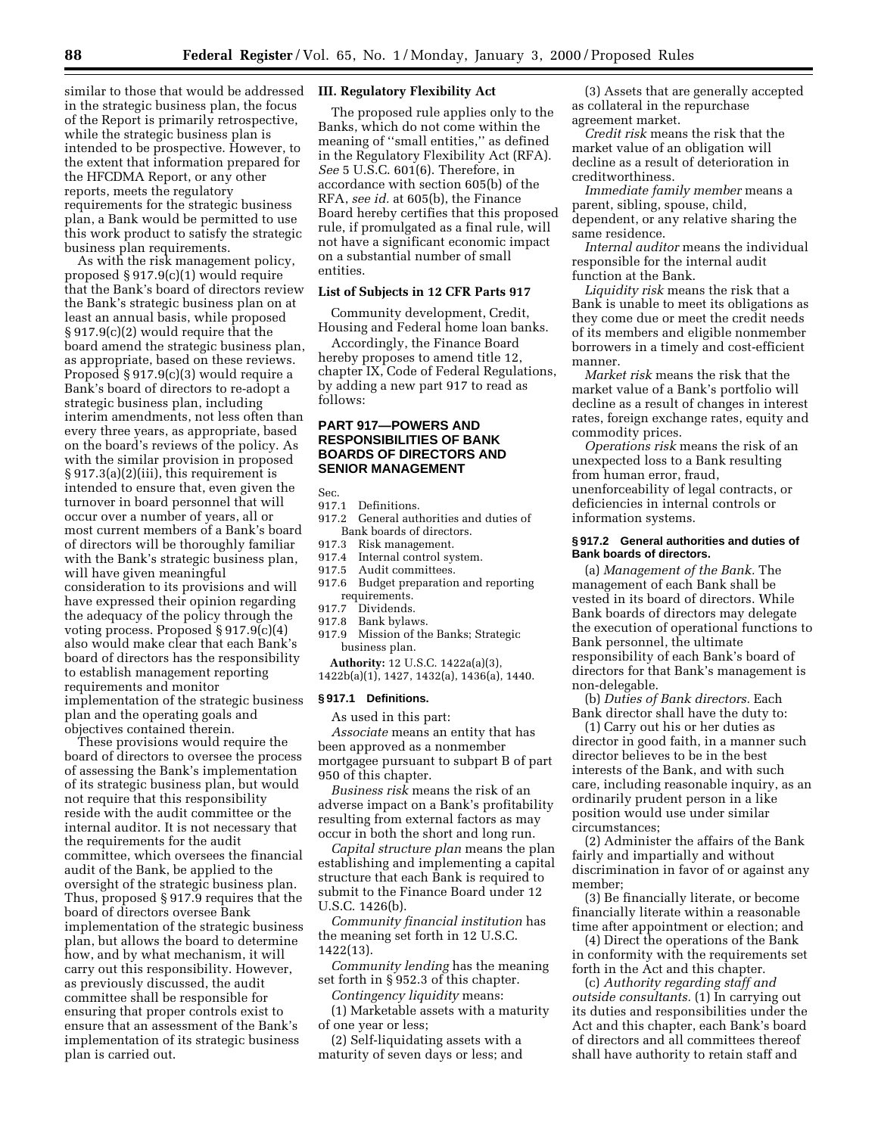similar to those that would be addressed in the strategic business plan, the focus of the Report is primarily retrospective, while the strategic business plan is intended to be prospective. However, to the extent that information prepared for the HFCDMA Report, or any other reports, meets the regulatory requirements for the strategic business plan, a Bank would be permitted to use this work product to satisfy the strategic business plan requirements.

As with the risk management policy, proposed § 917.9(c)(1) would require that the Bank's board of directors review the Bank's strategic business plan on at least an annual basis, while proposed § 917.9(c)(2) would require that the board amend the strategic business plan, as appropriate, based on these reviews. Proposed § 917.9(c)(3) would require a Bank's board of directors to re-adopt a strategic business plan, including interim amendments, not less often than every three years, as appropriate, based on the board's reviews of the policy. As with the similar provision in proposed § 917.3(a)(2)(iii), this requirement is intended to ensure that, even given the turnover in board personnel that will occur over a number of years, all or most current members of a Bank's board of directors will be thoroughly familiar with the Bank's strategic business plan, will have given meaningful consideration to its provisions and will have expressed their opinion regarding the adequacy of the policy through the voting process. Proposed § 917.9(c)(4) also would make clear that each Bank's board of directors has the responsibility to establish management reporting requirements and monitor implementation of the strategic business plan and the operating goals and objectives contained therein.

These provisions would require the board of directors to oversee the process of assessing the Bank's implementation of its strategic business plan, but would not require that this responsibility reside with the audit committee or the internal auditor. It is not necessary that the requirements for the audit committee, which oversees the financial audit of the Bank, be applied to the oversight of the strategic business plan. Thus, proposed § 917.9 requires that the board of directors oversee Bank implementation of the strategic business plan, but allows the board to determine how, and by what mechanism, it will carry out this responsibility. However, as previously discussed, the audit committee shall be responsible for ensuring that proper controls exist to ensure that an assessment of the Bank's implementation of its strategic business plan is carried out.

## **III. Regulatory Flexibility Act**

The proposed rule applies only to the Banks, which do not come within the meaning of ''small entities,'' as defined in the Regulatory Flexibility Act (RFA). *See* 5 U.S.C. 601(6). Therefore, in accordance with section 605(b) of the RFA, *see id.* at 605(b), the Finance Board hereby certifies that this proposed rule, if promulgated as a final rule, will not have a significant economic impact on a substantial number of small entities.

# **List of Subjects in 12 CFR Parts 917**

Community development, Credit, Housing and Federal home loan banks.

Accordingly, the Finance Board hereby proposes to amend title 12, chapter IX, Code of Federal Regulations, by adding a new part 917 to read as follows:

## **PART 917—POWERS AND RESPONSIBILITIES OF BANK BOARDS OF DIRECTORS AND SENIOR MANAGEMENT**

Sec.

- 917.1 Definitions.<br>917.2 General aut
- General authorities and duties of Bank boards of directors.
- 917.3 Risk management.
- 917.4 Internal control system.
- 917.5 Audit committees.
- 917.6 Budget preparation and reporting requirements.
- 917.7 Dividends.
- 917.8 Bank bylaws.
- 917.9 Mission of the Banks; Strategic business plan.

**Authority:** 12 U.S.C. 1422a(a)(3), 1422b(a)(1), 1427, 1432(a), 1436(a), 1440.

#### **§ 917.1 Definitions.**

As used in this part:

*Associate* means an entity that has been approved as a nonmember mortgagee pursuant to subpart B of part 950 of this chapter.

*Business risk* means the risk of an adverse impact on a Bank's profitability resulting from external factors as may occur in both the short and long run.

*Capital structure plan* means the plan establishing and implementing a capital structure that each Bank is required to submit to the Finance Board under 12 U.S.C. 1426(b).

*Community financial institution* has the meaning set forth in 12 U.S.C. 1422(13).

*Community lending* has the meaning set forth in § 952.3 of this chapter.

*Contingency liquidity* means:

(1) Marketable assets with a maturity of one year or less;

(2) Self-liquidating assets with a maturity of seven days or less; and

(3) Assets that are generally accepted as collateral in the repurchase agreement market.

*Credit risk* means the risk that the market value of an obligation will decline as a result of deterioration in creditworthiness.

*Immediate family member* means a parent, sibling, spouse, child, dependent, or any relative sharing the same residence.

*Internal auditor* means the individual responsible for the internal audit function at the Bank.

*Liquidity risk* means the risk that a Bank is unable to meet its obligations as they come due or meet the credit needs of its members and eligible nonmember borrowers in a timely and cost-efficient manner.

*Market risk* means the risk that the market value of a Bank's portfolio will decline as a result of changes in interest rates, foreign exchange rates, equity and commodity prices.

*Operations risk* means the risk of an unexpected loss to a Bank resulting from human error, fraud, unenforceability of legal contracts, or deficiencies in internal controls or information systems.

## **§ 917.2 General authorities and duties of Bank boards of directors.**

(a) *Management of the Bank.* The management of each Bank shall be vested in its board of directors. While Bank boards of directors may delegate the execution of operational functions to Bank personnel, the ultimate responsibility of each Bank's board of directors for that Bank's management is non-delegable.

(b) *Duties of Bank directors.* Each Bank director shall have the duty to:

(1) Carry out his or her duties as director in good faith, in a manner such director believes to be in the best interests of the Bank, and with such care, including reasonable inquiry, as an ordinarily prudent person in a like position would use under similar circumstances;

(2) Administer the affairs of the Bank fairly and impartially and without discrimination in favor of or against any member;

(3) Be financially literate, or become financially literate within a reasonable time after appointment or election; and

(4) Direct the operations of the Bank in conformity with the requirements set forth in the Act and this chapter.

(c) *Authority regarding staff and outside consultants.* (1) In carrying out its duties and responsibilities under the Act and this chapter, each Bank's board of directors and all committees thereof shall have authority to retain staff and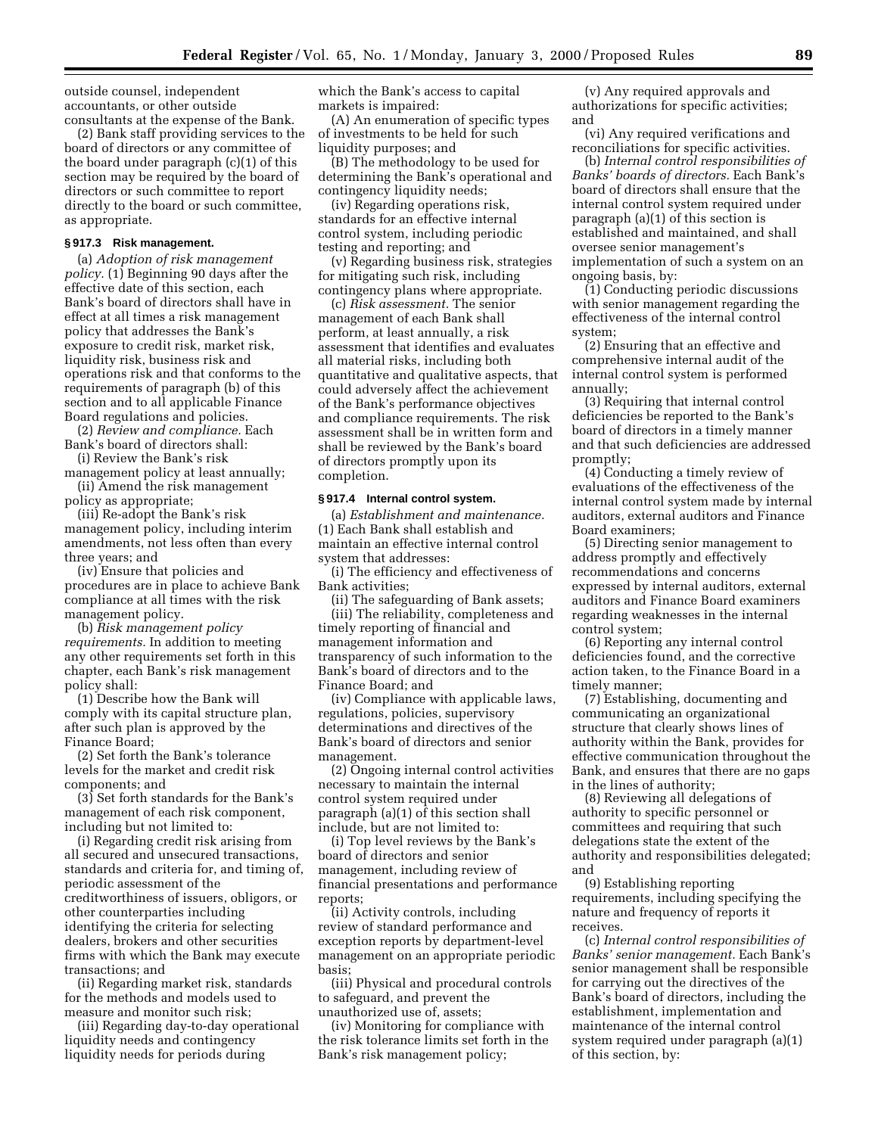outside counsel, independent accountants, or other outside consultants at the expense of the Bank.

(2) Bank staff providing services to the board of directors or any committee of the board under paragraph (c)(1) of this section may be required by the board of directors or such committee to report directly to the board or such committee, as appropriate.

## **§ 917.3 Risk management.**

(a) *Adoption of risk management policy.* (1) Beginning 90 days after the effective date of this section, each Bank's board of directors shall have in effect at all times a risk management policy that addresses the Bank's exposure to credit risk, market risk, liquidity risk, business risk and operations risk and that conforms to the requirements of paragraph (b) of this section and to all applicable Finance Board regulations and policies.

(2) *Review and compliance.* Each Bank's board of directors shall:

(i) Review the Bank's risk management policy at least annually; (ii) Amend the risk management

policy as appropriate;

(iii) Re-adopt the Bank's risk management policy, including interim amendments, not less often than every three years; and

(iv) Ensure that policies and procedures are in place to achieve Bank compliance at all times with the risk management policy.

(b) *Risk management policy requirements.* In addition to meeting any other requirements set forth in this chapter, each Bank's risk management policy shall:

(1) Describe how the Bank will comply with its capital structure plan, after such plan is approved by the Finance Board;

(2) Set forth the Bank's tolerance levels for the market and credit risk components; and

(3) Set forth standards for the Bank's management of each risk component, including but not limited to:

(i) Regarding credit risk arising from all secured and unsecured transactions, standards and criteria for, and timing of, periodic assessment of the creditworthiness of issuers, obligors, or other counterparties including identifying the criteria for selecting dealers, brokers and other securities firms with which the Bank may execute transactions; and

(ii) Regarding market risk, standards for the methods and models used to measure and monitor such risk;

(iii) Regarding day-to-day operational liquidity needs and contingency liquidity needs for periods during

which the Bank's access to capital markets is impaired:

(A) An enumeration of specific types of investments to be held for such liquidity purposes; and

(B) The methodology to be used for determining the Bank's operational and contingency liquidity needs;

(iv) Regarding operations risk, standards for an effective internal control system, including periodic testing and reporting; and

(v) Regarding business risk, strategies for mitigating such risk, including contingency plans where appropriate.

(c) *Risk assessment.* The senior management of each Bank shall perform, at least annually, a risk assessment that identifies and evaluates all material risks, including both quantitative and qualitative aspects, that could adversely affect the achievement of the Bank's performance objectives and compliance requirements. The risk assessment shall be in written form and shall be reviewed by the Bank's board of directors promptly upon its completion.

#### **§ 917.4 Internal control system.**

(a) *Establishment and maintenance.* (1) Each Bank shall establish and maintain an effective internal control system that addresses:

(i) The efficiency and effectiveness of Bank activities;

(ii) The safeguarding of Bank assets; (iii) The reliability, completeness and timely reporting of financial and management information and transparency of such information to the Bank's board of directors and to the Finance Board; and

(iv) Compliance with applicable laws, regulations, policies, supervisory determinations and directives of the Bank's board of directors and senior management.

(2) Ongoing internal control activities necessary to maintain the internal control system required under paragraph (a)(1) of this section shall include, but are not limited to:

(i) Top level reviews by the Bank's board of directors and senior management, including review of financial presentations and performance reports;

(ii) Activity controls, including review of standard performance and exception reports by department-level management on an appropriate periodic basis;

(iii) Physical and procedural controls to safeguard, and prevent the unauthorized use of, assets;

(iv) Monitoring for compliance with the risk tolerance limits set forth in the Bank's risk management policy;

(v) Any required approvals and authorizations for specific activities; and

(vi) Any required verifications and reconciliations for specific activities.

(b) *Internal control responsibilities of Banks' boards of directors.* Each Bank's board of directors shall ensure that the internal control system required under paragraph (a)(1) of this section is established and maintained, and shall oversee senior management's implementation of such a system on an ongoing basis, by:

(1) Conducting periodic discussions with senior management regarding the effectiveness of the internal control system;

(2) Ensuring that an effective and comprehensive internal audit of the internal control system is performed annually;

(3) Requiring that internal control deficiencies be reported to the Bank's board of directors in a timely manner and that such deficiencies are addressed promptly;

(4) Conducting a timely review of evaluations of the effectiveness of the internal control system made by internal auditors, external auditors and Finance Board examiners;

(5) Directing senior management to address promptly and effectively recommendations and concerns expressed by internal auditors, external auditors and Finance Board examiners regarding weaknesses in the internal control system;

(6) Reporting any internal control deficiencies found, and the corrective action taken, to the Finance Board in a timely manner;

(7) Establishing, documenting and communicating an organizational structure that clearly shows lines of authority within the Bank, provides for effective communication throughout the Bank, and ensures that there are no gaps in the lines of authority;

(8) Reviewing all delegations of authority to specific personnel or committees and requiring that such delegations state the extent of the authority and responsibilities delegated; and

(9) Establishing reporting requirements, including specifying the nature and frequency of reports it receives.

(c) *Internal control responsibilities of Banks' senior management.* Each Bank's senior management shall be responsible for carrying out the directives of the Bank's board of directors, including the establishment, implementation and maintenance of the internal control system required under paragraph (a)(1) of this section, by: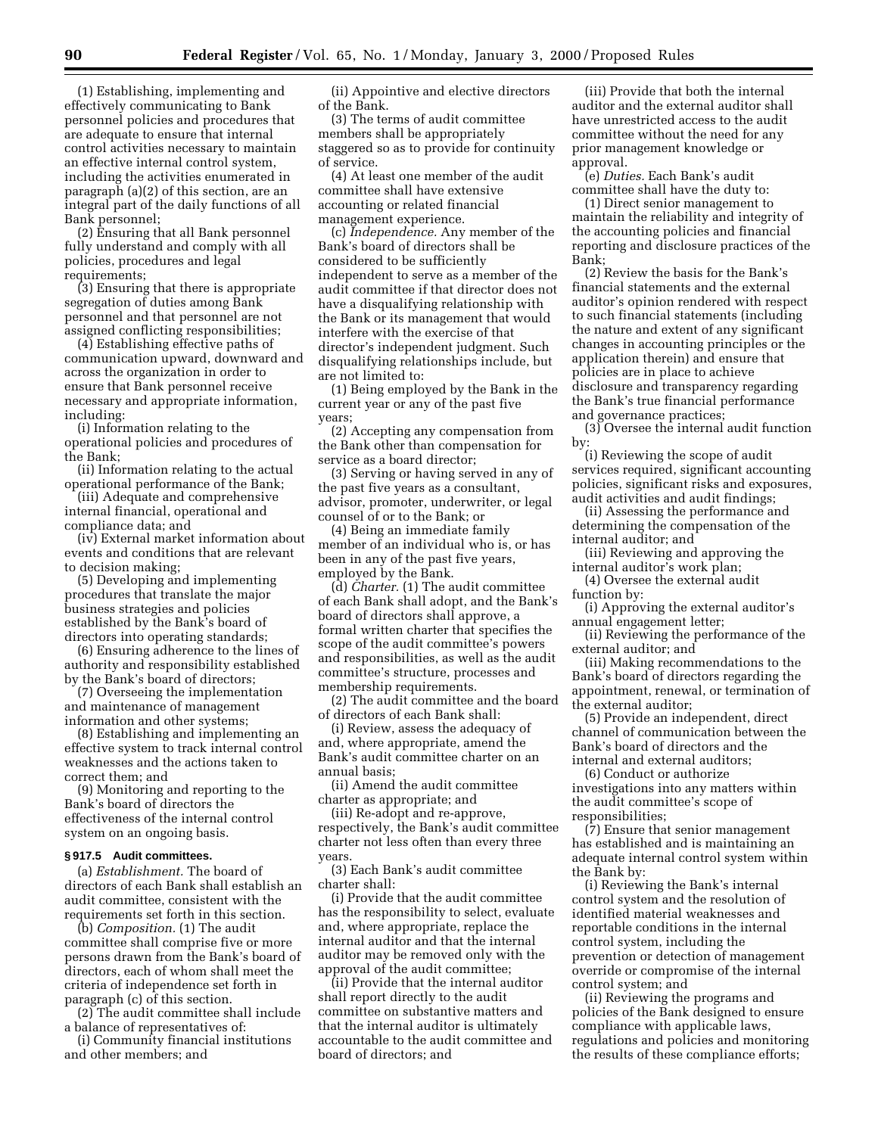(1) Establishing, implementing and effectively communicating to Bank personnel policies and procedures that are adequate to ensure that internal control activities necessary to maintain an effective internal control system, including the activities enumerated in paragraph (a)(2) of this section, are an integral part of the daily functions of all Bank personnel;

(2) Ensuring that all Bank personnel fully understand and comply with all policies, procedures and legal requirements;

(3) Ensuring that there is appropriate segregation of duties among Bank personnel and that personnel are not assigned conflicting responsibilities;

(4) Establishing effective paths of communication upward, downward and across the organization in order to ensure that Bank personnel receive necessary and appropriate information, including:

(i) Information relating to the operational policies and procedures of the Bank;

(ii) Information relating to the actual operational performance of the Bank;

(iii) Adequate and comprehensive internal financial, operational and compliance data; and

(iv) External market information about events and conditions that are relevant to decision making;

(5) Developing and implementing procedures that translate the major business strategies and policies established by the Bank's board of directors into operating standards;

(6) Ensuring adherence to the lines of authority and responsibility established by the Bank's board of directors;

(7) Overseeing the implementation and maintenance of management information and other systems;

(8) Establishing and implementing an effective system to track internal control weaknesses and the actions taken to correct them; and

(9) Monitoring and reporting to the Bank's board of directors the effectiveness of the internal control system on an ongoing basis.

#### **§ 917.5 Audit committees.**

(a) *Establishment.* The board of directors of each Bank shall establish an audit committee, consistent with the requirements set forth in this section.

(b) *Composition.* (1) The audit committee shall comprise five or more persons drawn from the Bank's board of directors, each of whom shall meet the criteria of independence set forth in paragraph (c) of this section.

(2) The audit committee shall include a balance of representatives of:

(i) Community financial institutions and other members; and

(ii) Appointive and elective directors of the Bank.

(3) The terms of audit committee members shall be appropriately staggered so as to provide for continuity of service.

(4) At least one member of the audit committee shall have extensive accounting or related financial management experience.

(c) *Independence.* Any member of the Bank's board of directors shall be considered to be sufficiently independent to serve as a member of the audit committee if that director does not have a disqualifying relationship with the Bank or its management that would interfere with the exercise of that director's independent judgment. Such disqualifying relationships include, but are not limited to:

(1) Being employed by the Bank in the current year or any of the past five years;

(2) Accepting any compensation from the Bank other than compensation for service as a board director;

(3) Serving or having served in any of the past five years as a consultant, advisor, promoter, underwriter, or legal counsel of or to the Bank; or

(4) Being an immediate family member of an individual who is, or has been in any of the past five years, employed by the Bank.

(d) *Charter.* (1) The audit committee of each Bank shall adopt, and the Bank's board of directors shall approve, a formal written charter that specifies the scope of the audit committee's powers and responsibilities, as well as the audit committee's structure, processes and membership requirements.

(2) The audit committee and the board of directors of each Bank shall:

(i) Review, assess the adequacy of and, where appropriate, amend the Bank's audit committee charter on an annual basis;

(ii) Amend the audit committee charter as appropriate; and

(iii) Re-adopt and re-approve, respectively, the Bank's audit committee charter not less often than every three years.

(3) Each Bank's audit committee charter shall:

(i) Provide that the audit committee has the responsibility to select, evaluate and, where appropriate, replace the internal auditor and that the internal auditor may be removed only with the approval of the audit committee;

(ii) Provide that the internal auditor shall report directly to the audit committee on substantive matters and that the internal auditor is ultimately accountable to the audit committee and board of directors; and

(iii) Provide that both the internal auditor and the external auditor shall have unrestricted access to the audit committee without the need for any prior management knowledge or approval.

(e) *Duties.* Each Bank's audit committee shall have the duty to:

(1) Direct senior management to maintain the reliability and integrity of the accounting policies and financial reporting and disclosure practices of the Bank;

(2) Review the basis for the Bank's financial statements and the external auditor's opinion rendered with respect to such financial statements (including the nature and extent of any significant changes in accounting principles or the application therein) and ensure that policies are in place to achieve disclosure and transparency regarding the Bank's true financial performance and governance practices;

(3) Oversee the internal audit function by:

(i) Reviewing the scope of audit services required, significant accounting policies, significant risks and exposures, audit activities and audit findings;

(ii) Assessing the performance and determining the compensation of the internal auditor; and

(iii) Reviewing and approving the internal auditor's work plan;

(4) Oversee the external audit function by:

(i) Approving the external auditor's annual engagement letter;

(ii) Reviewing the performance of the external auditor; and

(iii) Making recommendations to the Bank's board of directors regarding the appointment, renewal, or termination of the external auditor;

(5) Provide an independent, direct channel of communication between the Bank's board of directors and the internal and external auditors;

(6) Conduct or authorize investigations into any matters within the audit committee's scope of responsibilities;

(7) Ensure that senior management has established and is maintaining an adequate internal control system within the Bank by:

(i) Reviewing the Bank's internal control system and the resolution of identified material weaknesses and reportable conditions in the internal control system, including the prevention or detection of management override or compromise of the internal control system; and

(ii) Reviewing the programs and policies of the Bank designed to ensure compliance with applicable laws, regulations and policies and monitoring the results of these compliance efforts;